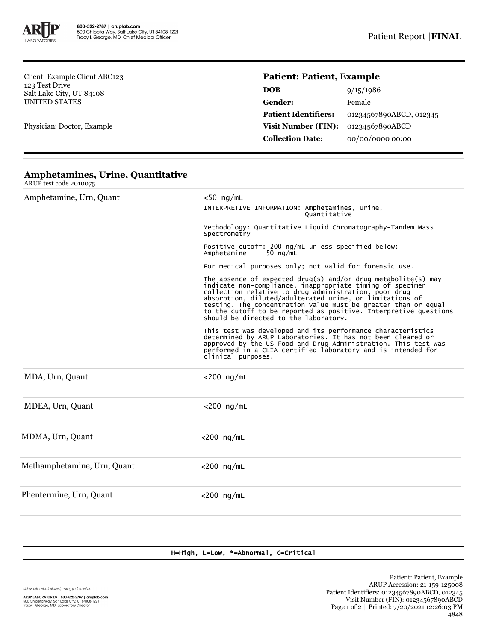

Client: Example Client ABC123 123 Test Drive Salt Lake City, UT 84108 UNITED STATES

Physician: Doctor, Example

ARUP test code 2010075

## **Patient: Patient, Example**

| <b>DOB</b>                  | 9/15/1986               |  |
|-----------------------------|-------------------------|--|
| Gender:                     | Female                  |  |
| <b>Patient Identifiers:</b> | 01234567890ABCD, 012345 |  |
| <b>Visit Number (FIN):</b>  | 01234567890ABCD         |  |
| <b>Collection Date:</b>     | 00/00/0000 00:00        |  |

| Amphetamine, Urn, Quant     | $<$ 50 ng/mL                                                                                                                                                                                                                                                                                                                                                                                                                   |  |  |  |
|-----------------------------|--------------------------------------------------------------------------------------------------------------------------------------------------------------------------------------------------------------------------------------------------------------------------------------------------------------------------------------------------------------------------------------------------------------------------------|--|--|--|
|                             | INTERPRETIVE INFORMATION: Amphetamines, Urine,<br>Ouantitative                                                                                                                                                                                                                                                                                                                                                                 |  |  |  |
|                             | Methodology: Quantitative Liquid Chromatography-Tandem Mass<br>Spectrometry<br>Positive cutoff: 200 ng/mL unless specified below:<br>Amphetamine<br>50 $nq/mL$<br>For medical purposes only; not valid for forensic use.                                                                                                                                                                                                       |  |  |  |
|                             |                                                                                                                                                                                                                                                                                                                                                                                                                                |  |  |  |
|                             |                                                                                                                                                                                                                                                                                                                                                                                                                                |  |  |  |
|                             | The absence of expected drug(s) and/or drug metabolite(s) may<br>indicate non-compliance, inappropriate timing of specimen<br>collection relative to drug administration, poor drug<br>absorption, diluted/adulterated urine, or limitations of<br>testing. The concentration value must be greater than or equal<br>to the cutoff to be reported as positive. Interpretive questions<br>should be directed to the laboratory. |  |  |  |
|                             | This test was developed and its performance characteristics<br>determined by ARUP Laboratories. It has not been cleared or<br>approved by the US Food and Drug Administration. This test was<br>performed in a CLIA certified laboratory and is intended for<br>clinical purposes.                                                                                                                                             |  |  |  |
| MDA, Urn, Quant             | $<$ 200 ng/mL                                                                                                                                                                                                                                                                                                                                                                                                                  |  |  |  |
| MDEA, Urn, Quant            | $<$ 200 ng/mL                                                                                                                                                                                                                                                                                                                                                                                                                  |  |  |  |
| MDMA, Urn, Quant            | $<$ 200 ng/mL                                                                                                                                                                                                                                                                                                                                                                                                                  |  |  |  |
| Methamphetamine, Urn, Quant | $<$ 200 ng/mL                                                                                                                                                                                                                                                                                                                                                                                                                  |  |  |  |
| Phentermine, Urn, Quant     | $<$ 200 ng/mL                                                                                                                                                                                                                                                                                                                                                                                                                  |  |  |  |

## **Amphetamines, Urine, Quantitative**

H=High, L=Low, \*=Abnormal, C=Critical

Unless otherwise indicated, testing performed at: